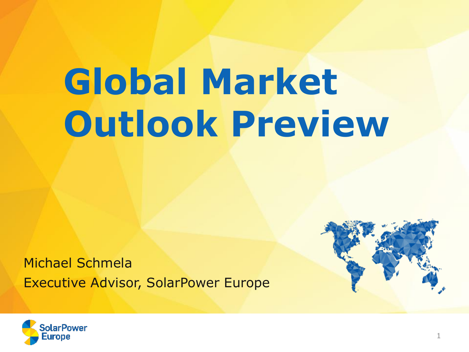# **Global Market Outlook Preview**

Michael Schmela Executive Advisor, SolarPower Europe



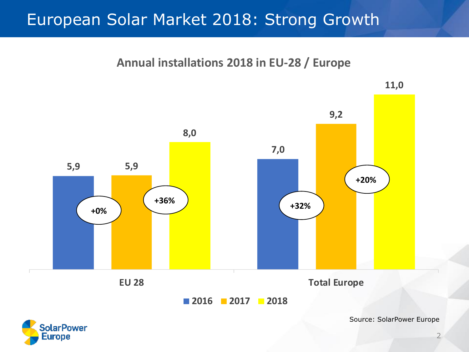#### European Solar Market 2018: Strong Growth



Source: SolarPower Europe



2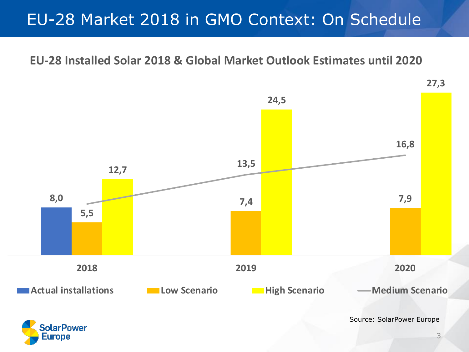## EU-28 Market 2018 in GMO Context: On Schedule

#### **EU-28 Installed Solar 2018 & Global Market Outlook Estimates until 2020**

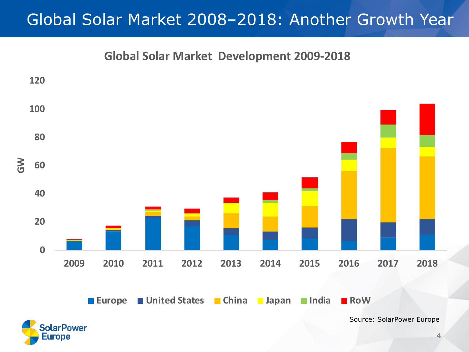## Global Solar Market 2008–2018: Another Growth Year

**Global Solar Market Development 2009-2018**

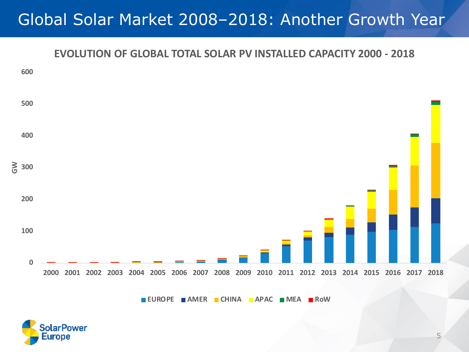### Global Solar Market 2008–2018: Another Growth Year

#### **EVOLUTION OF GLOBAL TOTAL SOLAR PV INSTALLED CAPACITY 2000 - 2018**



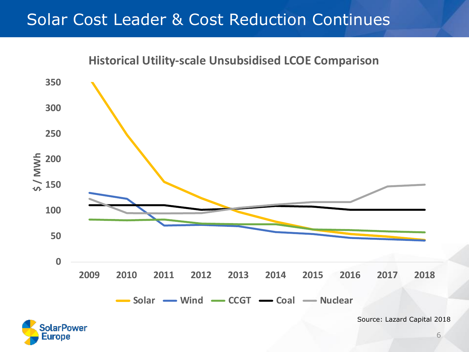#### Solar Cost Leader & Cost Reduction Continues



Europe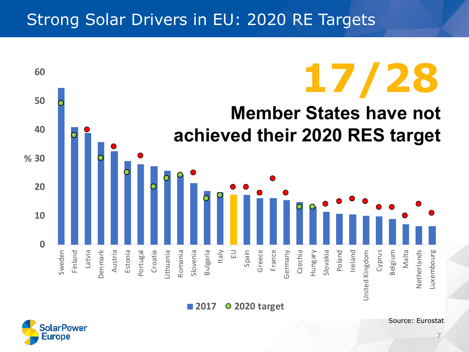#### Strong Solar Drivers in EU: 2020 RE Targets



**2017 2020 target**

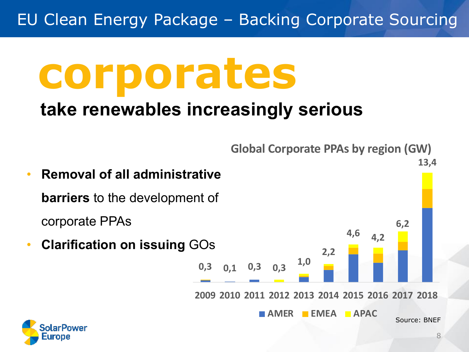EU Clean Energy Package – Backing Corporate Sourcing

# **corporates**

# **take renewables increasingly serious**

**Global Corporate PPAs by region (GW)**

#### • **Removal of all administrative barriers** to the development of corporate PPAs • **Clarification on issuing** GOs **0,3 0,1 0,3 0,3 1,0 2,2 4,6 4,2 6,2 13,4 2009 2010 2011 2012 2013 2014 2015 2016 2017 2018 AMER EMEA APAC** Source: BNEF